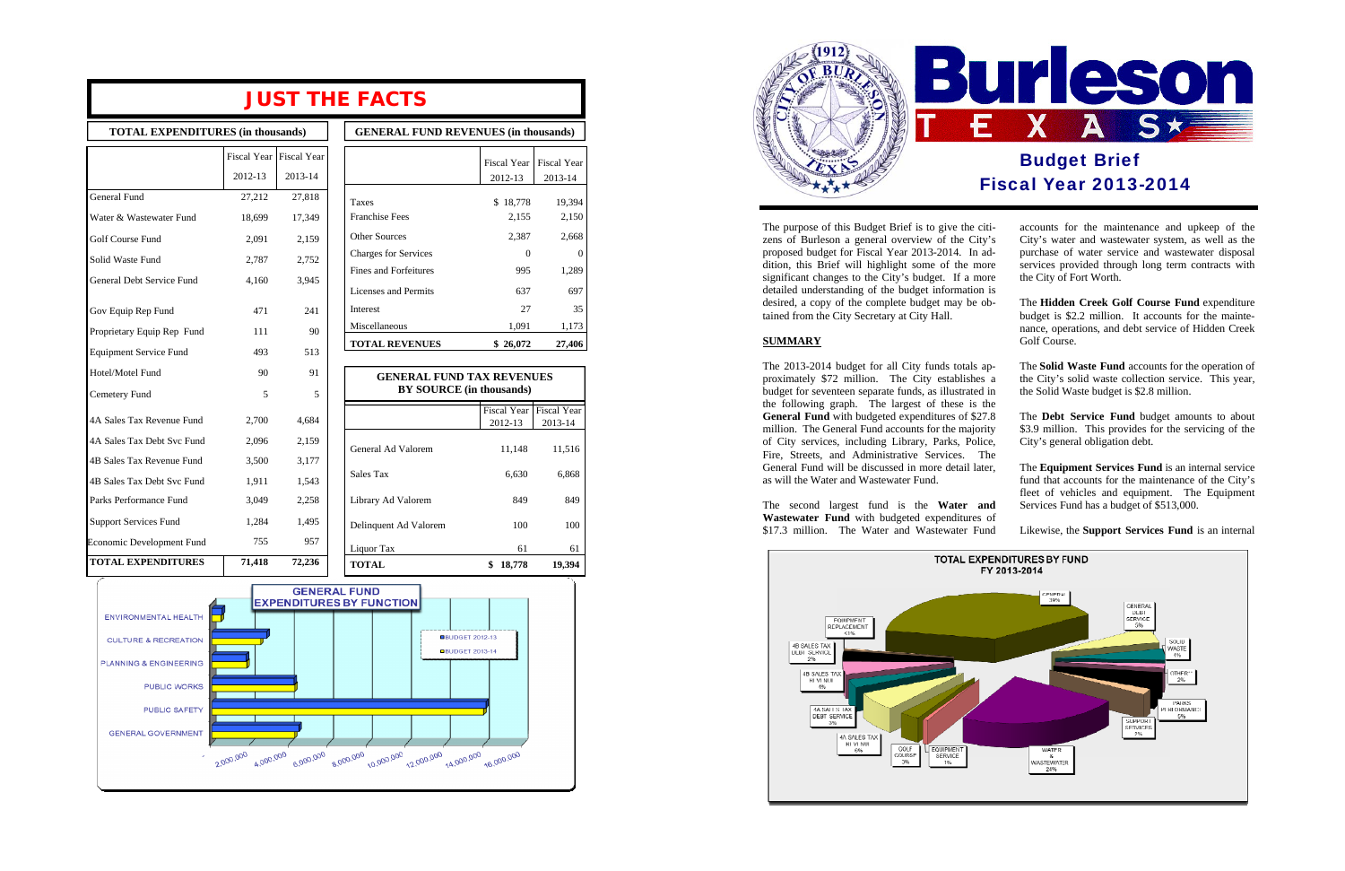# **JUST THE FACTS**

**TOTAL EXPENDITURES (in thousands) GENERAL FUND REVENUES (in thousands)** 

|                               | Fiscal Year | <b>Fiscal Year</b> |
|-------------------------------|-------------|--------------------|
|                               | 2012-13     | 2013-14            |
| <b>General Fund</b>           | 27,212      | 27,818             |
| Water & Wastewater Fund       | 18,699      | 17,349             |
| Golf Course Fund              | 2,091       | 2,159              |
| Solid Waste Fund              | 2,787       | 2,752              |
| General Debt Service Fund     | 4,160       | 3,945              |
| Gov Equip Rep Fund            | 471         | 241                |
| Proprietary Equip Rep Fund    | 111         | 90                 |
| <b>Equipment Service Fund</b> | 493         | 513                |
| Hotel/Motel Fund              | 90          | 91                 |
| Cemetery Fund                 | 5           | 5                  |
| 4A Sales Tax Revenue Fund     | 2,700       | 4,684              |
| 4A Sales Tax Debt Svc Fund    | 2,096       | 2,159              |
| 4B Sales Tax Revenue Fund     | 3,500       | 3,177              |
| 4B Sales Tax Debt Svc Fund    | 1,911       | 1,543              |
| Parks Performance Fund        | 3,049       | 2,258              |
| <b>Support Services Fund</b>  | 1,284       | 1,495              |
| Economic Development Fund     | 755         | 957                |
| <b>TOTAL EXPENDITURES</b>     | 71,418      | 72,236             |

|                       | Fiscal Year   Fiscal Year |         |
|-----------------------|---------------------------|---------|
|                       | 2012-13                   | 2013-14 |
| General Ad Valorem    | 11,148                    | 11,516  |
| Sales Tax             | 6,630                     | 6,868   |
| Library Ad Valorem    | 849                       | 849     |
| Delinquent Ad Valorem | 100                       | 100     |
| Liquor Tax            | 61                        | 61      |
| <b>TOTAL</b>          | \$<br>18,778              | 19,394  |



The 2013-2014 budget for all City funds totals ap proximately \$72 million. The City establishes budget for seventeen separate funds, as illustrated in the following graph. The largest of these is the General Fund with budgeted expenditures of \$27 million. The General Fund accounts for the majority of City services, including Library, Parks, Police, Fire, Streets, and Administrative Services. The General Fund will be discussed in more detail later, as will the Water and Wastewater Fund.

| <b>OETLEMAL FUND REVENUES (III INGUSTING)</b> |               |                    |
|-----------------------------------------------|---------------|--------------------|
|                                               |               |                    |
|                                               | Fiscal Year   | <b>Fiscal Year</b> |
|                                               | 2012-13       | 2013-14            |
|                                               |               |                    |
| <b>Taxes</b>                                  | 18,778<br>\$. | 19,394             |
| <b>Franchise Fees</b>                         | 2,155         | 2,150              |
| <b>Other Sources</b>                          | 2,387         | 2,668              |
| <b>Charges for Services</b>                   | 0             | O                  |
| Fines and Forfeitures                         | 995           | 1,289              |
| Licenses and Permits                          | 637           | 697                |
| <b>Interest</b>                               | 27            | 35                 |
| Miscellaneous                                 | 1,091         | 1,173              |
| <b>TOTAL REVENUES</b>                         | \$26,072      | 27,406             |

The purpose of this Budget Brief is to give the citizens of Burleson a general overview of the City' proposed budget for Fiscal Year 2013-2014. In addition, this Brief will highlight some of the more significant changes to the City's budget. If a mor detailed understanding of the budget information desired, a copy of the complete budget may be obtained from the City Secretary at City Hall.

#### **SUMMARY**

The second largest fund is the **Water and Wastewater Fund** with budgeted expenditures of \$17.3 million. The Water and Wastewater Fund



| i-<br>$\cdot$ <sub>S</sub><br>ŀ.<br>re<br>re<br>is | accounts for the maintenance and upkeep of the<br>City's water and wastewater system, as well as the<br>purchase of water service and wastewater disposal<br>services provided through long term contracts with<br>the City of Fort Worth. |
|----------------------------------------------------|--------------------------------------------------------------------------------------------------------------------------------------------------------------------------------------------------------------------------------------------|
| $\mathcal{L}$                                      | The Hidden Creek Golf Course Fund expenditure<br>budget is \$2.2 million. It accounts for the mainte-<br>nance, operations, and debt service of Hidden Creek<br>Golf Course.                                                               |
| $\overline{a}$<br>a<br>in<br>ie                    | The <b>Solid Waste Fund</b> accounts for the operation of<br>the City's solid waste collection service. This year,<br>the Solid Waste budget is \$2.8 million.                                                                             |
| .8<br>ty<br>e,<br>ie                               | The Debt Service Fund budget amounts to about<br>\$3.9 million. This provides for the servicing of the<br>City's general obligation debt.                                                                                                  |
| r,<br>d                                            | The <b>Equipment Services Fund</b> is an internal service<br>fund that accounts for the maintenance of the City's<br>fleet of vehicles and equipment. The Equipment<br>Services Fund has a budget of \$513,000.                            |
|                                                    |                                                                                                                                                                                                                                            |

Likewise, the **Support Services Fund** is an internal